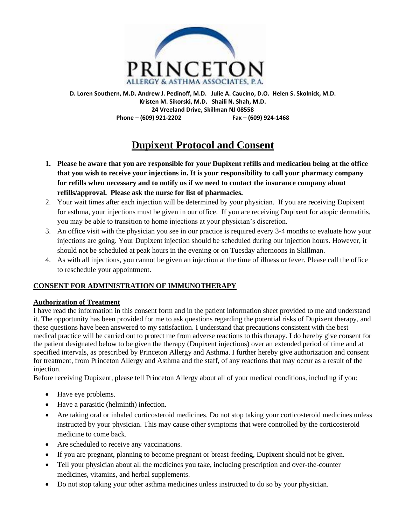

**D. Loren Southern, M.D. Andrew J. Pedinoff, M.D. Julie A. Caucino, D.O. Helen S. Skolnick, M.D. Kristen M. Sikorski, M.D. Shaili N. Shah, M.D. 24 Vreeland Drive, Skillman NJ 08558 Phone – (609) 921-2202 Fax – (609) 924-1468**

# **Dupixent Protocol and Consent**

- **1. Please be aware that you are responsible for your Dupixent refills and medication being at the office that you wish to receive your injections in. It is your responsibility to call your pharmacy company for refills when necessary and to notify us if we need to contact the insurance company about refills/approval. Please ask the nurse for list of pharmacies.**
- 2. Your wait times after each injection will be determined by your physician. If you are receiving Dupixent for asthma, your injections must be given in our office. If you are receiving Dupixent for atopic dermatitis, you may be able to transition to home injections at your physician's discretion.
- 3. An office visit with the physician you see in our practice is required every 3-4 months to evaluate how your injections are going. Your Dupixent injection should be scheduled during our injection hours. However, it should not be scheduled at peak hours in the evening or on Tuesday afternoons in Skillman.
- 4. As with all injections, you cannot be given an injection at the time of illness or fever. Please call the office to reschedule your appointment.

## **CONSENT FOR ADMINISTRATION OF IMMUNOTHERAPY**

#### **Authorization of Treatment**

I have read the information in this consent form and in the patient information sheet provided to me and understand it. The opportunity has been provided for me to ask questions regarding the potential risks of Dupixent therapy, and these questions have been answered to my satisfaction. I understand that precautions consistent with the best medical practice will be carried out to protect me from adverse reactions to this therapy. I do hereby give consent for the patient designated below to be given the therapy (Dupixent injections) over an extended period of time and at specified intervals, as prescribed by Princeton Allergy and Asthma. I further hereby give authorization and consent for treatment, from Princeton Allergy and Asthma and the staff, of any reactions that may occur as a result of the injection.

Before receiving Dupixent, please tell Princeton Allergy about all of your medical conditions, including if you:

- Have eye problems.
- Have a parasitic (helminth) infection.
- Are taking oral or inhaled corticosteroid medicines. Do not stop taking your corticosteroid medicines unless instructed by your physician. This may cause other symptoms that were controlled by the corticosteroid medicine to come back.
- Are scheduled to receive any vaccinations.
- If you are pregnant, planning to become pregnant or breast-feeding, Dupixent should not be given.
- Tell your physician about all the medicines you take, including prescription and over-the-counter medicines, vitamins, and herbal supplements.
- Do not stop taking your other asthma medicines unless instructed to do so by your physician.